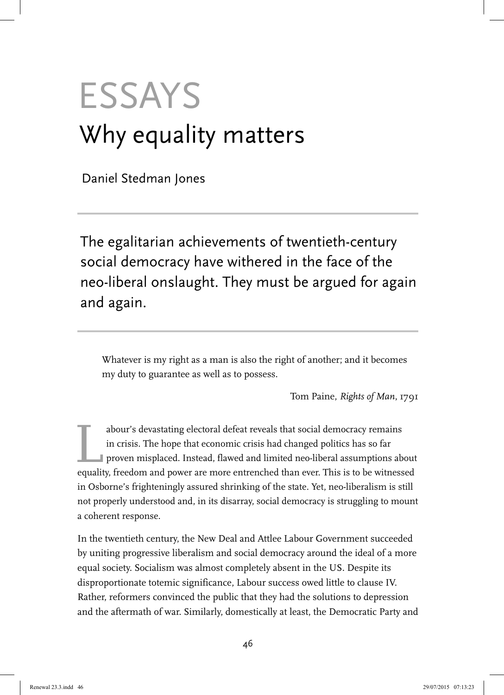# **ESSAYS** Why equality matters

Daniel Stedman Jones

The egalitarian achievements of twentieth-century social democracy have withered in the face of the neo-liberal onslaught. They must be argued for again and again.

Whatever is my right as a man is also the right of another; and it becomes my duty to guarantee as well as to possess.

Tom Paine, *Rights of Man*, 1791

abour's devastating electoral defeat reveals that social democracy remains<br>in crisis. The hope that economic crisis had changed politics has so far<br>proven misplaced. Instead, flawed and limited neo-liberal assumptions ab<br>e in crisis. The hope that economic crisis had changed politics has so far proven misplaced. Instead, flawed and limited neo-liberal assumptions about equality, freedom and power are more entrenched than ever. This is to be witnessed in Osborne's frighteningly assured shrinking of the state. Yet, neo-liberalism is still not properly understood and, in its disarray, social democracy is struggling to mount a coherent response.

In the twentieth century, the New Deal and Attlee Labour Government succeeded by uniting progressive liberalism and social democracy around the ideal of a more equal society. Socialism was almost completely absent in the US. Despite its disproportionate totemic significance, Labour success owed little to clause IV. Rather, reformers convinced the public that they had the solutions to depression and the aftermath of war. Similarly, domestically at least, the Democratic Party and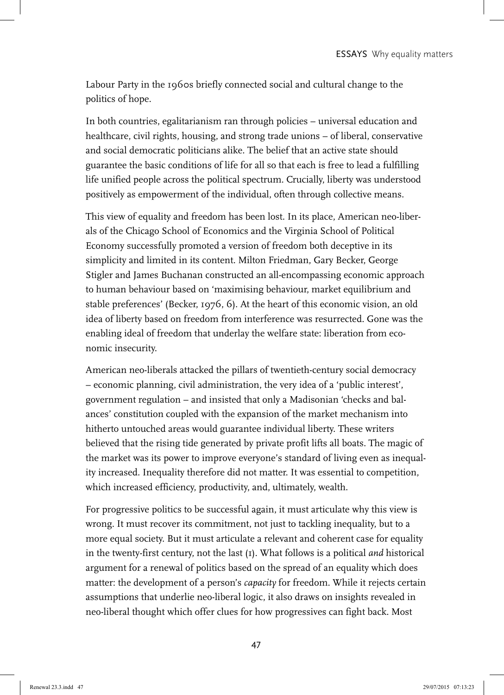Labour Party in the 1960s briefly connected social and cultural change to the politics of hope.

In both countries, egalitarianism ran through policies – universal education and healthcare, civil rights, housing, and strong trade unions – of liberal, conservative and social democratic politicians alike. The belief that an active state should guarantee the basic conditions of life for all so that each is free to lead a fulfilling life unified people across the political spectrum. Crucially, liberty was understood positively as empowerment of the individual, often through collective means.

This view of equality and freedom has been lost. In its place, American neo-liberals of the Chicago School of Economics and the Virginia School of Political Economy successfully promoted a version of freedom both deceptive in its simplicity and limited in its content. Milton Friedman, Gary Becker, George Stigler and James Buchanan constructed an all-encompassing economic approach to human behaviour based on 'maximising behaviour, market equilibrium and stable preferences' (Becker, 1976, 6). At the heart of this economic vision, an old idea of liberty based on freedom from interference was resurrected. Gone was the enabling ideal of freedom that underlay the welfare state: liberation from economic insecurity.

American neo-liberals attacked the pillars of twentieth-century social democracy – economic planning, civil administration, the very idea of a 'public interest', government regulation – and insisted that only a Madisonian 'checks and balances' constitution coupled with the expansion of the market mechanism into hitherto untouched areas would guarantee individual liberty. These writers believed that the rising tide generated by private profit lifts all boats. The magic of the market was its power to improve everyone's standard of living even as inequality increased. Inequality therefore did not matter. It was essential to competition, which increased efficiency, productivity, and, ultimately, wealth.

For progressive politics to be successful again, it must articulate why this view is wrong. It must recover its commitment, not just to tackling inequality, but to a more equal society. But it must articulate a relevant and coherent case for equality in the twenty-first century, not the last (1). What follows is a political *and* historical argument for a renewal of politics based on the spread of an equality which does matter: the development of a person's *capacity* for freedom. While it rejects certain assumptions that underlie neo-liberal logic, it also draws on insights revealed in neo-liberal thought which offer clues for how progressives can fight back. Most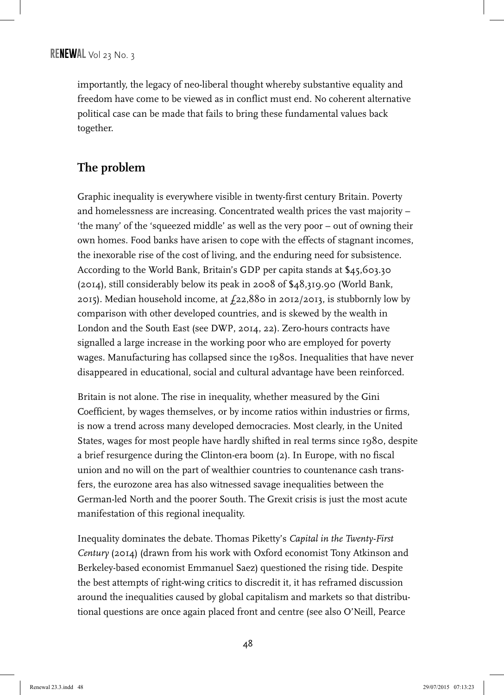importantly, the legacy of neo-liberal thought whereby substantive equality and freedom have come to be viewed as in conflict must end. No coherent alternative political case can be made that fails to bring these fundamental values back together.

# **The problem**

Graphic inequality is everywhere visible in twenty-first century Britain. Poverty and homelessness are increasing. Concentrated wealth prices the vast majority – 'the many' of the 'squeezed middle' as well as the very poor – out of owning their own homes. Food banks have arisen to cope with the effects of stagnant incomes, the inexorable rise of the cost of living, and the enduring need for subsistence. According to the World Bank, Britain's GDP per capita stands at \$45,603.30 (2014), still considerably below its peak in 2008 of \$48,319.90 (World Bank, 2015). Median household income, at  $f_{22,880}$  in 2012/2013, is stubbornly low by comparison with other developed countries, and is skewed by the wealth in London and the South East (see DWP, 2014, 22). Zero-hours contracts have signalled a large increase in the working poor who are employed for poverty wages. Manufacturing has collapsed since the 1980s. Inequalities that have never disappeared in educational, social and cultural advantage have been reinforced.

Britain is not alone. The rise in inequality, whether measured by the Gini Coefficient, by wages themselves, or by income ratios within industries or firms, is now a trend across many developed democracies. Most clearly, in the United States, wages for most people have hardly shifted in real terms since 1980, despite a brief resurgence during the Clinton-era boom (2). In Europe, with no fiscal union and no will on the part of wealthier countries to countenance cash transfers, the eurozone area has also witnessed savage inequalities between the German-led North and the poorer South. The Grexit crisis is just the most acute manifestation of this regional inequality.

Inequality dominates the debate. Thomas Piketty's *Capital in the Twenty-First Century* (2014) (drawn from his work with Oxford economist Tony Atkinson and Berkeley-based economist Emmanuel Saez) questioned the rising tide. Despite the best attempts of right-wing critics to discredit it, it has reframed discussion around the inequalities caused by global capitalism and markets so that distributional questions are once again placed front and centre (see also O'Neill, Pearce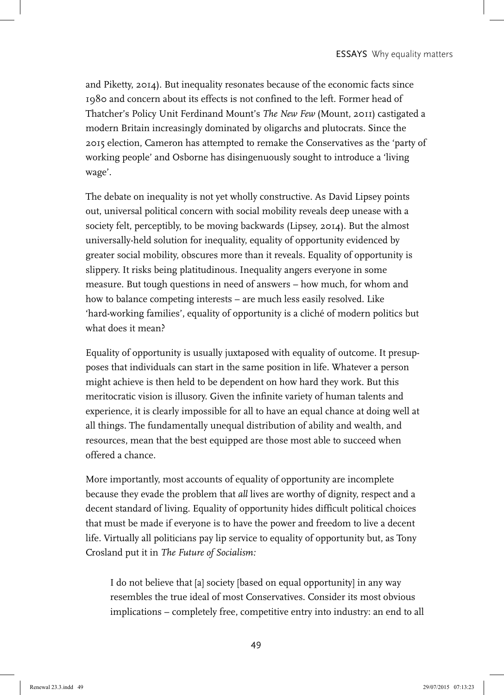and Piketty, 2014). But inequality resonates because of the economic facts since 1980 and concern about its effects is not confined to the left. Former head of Thatcher's Policy Unit Ferdinand Mount's *The New Few* (Mount, 2011) castigated a modern Britain increasingly dominated by oligarchs and plutocrats. Since the 2015 election, Cameron has attempted to remake the Conservatives as the 'party of working people' and Osborne has disingenuously sought to introduce a 'living wage'.

The debate on inequality is not yet wholly constructive. As David Lipsey points out, universal political concern with social mobility reveals deep unease with a society felt, perceptibly, to be moving backwards (Lipsey, 2014). But the almost universally-held solution for inequality, equality of opportunity evidenced by greater social mobility, obscures more than it reveals. Equality of opportunity is slippery. It risks being platitudinous. Inequality angers everyone in some measure. But tough questions in need of answers – how much, for whom and how to balance competing interests – are much less easily resolved. Like 'hard-working families', equality of opportunity is a cliché of modern politics but what does it mean?

Equality of opportunity is usually juxtaposed with equality of outcome. It presupposes that individuals can start in the same position in life. Whatever a person might achieve is then held to be dependent on how hard they work. But this meritocratic vision is illusory. Given the infinite variety of human talents and experience, it is clearly impossible for all to have an equal chance at doing well at all things. The fundamentally unequal distribution of ability and wealth, and resources, mean that the best equipped are those most able to succeed when offered a chance.

More importantly, most accounts of equality of opportunity are incomplete because they evade the problem that *all* lives are worthy of dignity, respect and a decent standard of living. Equality of opportunity hides difficult political choices that must be made if everyone is to have the power and freedom to live a decent life. Virtually all politicians pay lip service to equality of opportunity but, as Tony Crosland put it in *The Future of Socialism:*

I do not believe that [a] society [based on equal opportunity] in any way resembles the true ideal of most Conservatives. Consider its most obvious implications – completely free, competitive entry into industry: an end to all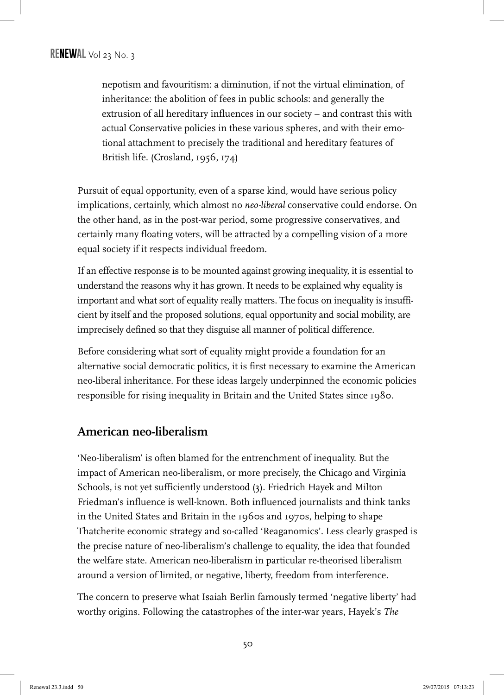nepotism and favouritism: a diminution, if not the virtual elimination, of inheritance: the abolition of fees in public schools: and generally the extrusion of all hereditary influences in our society – and contrast this with actual Conservative policies in these various spheres, and with their emotional attachment to precisely the traditional and hereditary features of British life. (Crosland, 1956, 174)

Pursuit of equal opportunity, even of a sparse kind, would have serious policy implications, certainly, which almost no *neo-liberal* conservative could endorse. On the other hand, as in the post-war period, some progressive conservatives, and certainly many floating voters, will be attracted by a compelling vision of a more equal society if it respects individual freedom.

If an effective response is to be mounted against growing inequality, it is essential to understand the reasons why it has grown. It needs to be explained why equality is important and what sort of equality really matters. The focus on inequality is insufficient by itself and the proposed solutions, equal opportunity and social mobility, are imprecisely defined so that they disguise all manner of political difference.

Before considering what sort of equality might provide a foundation for an alternative social democratic politics, it is first necessary to examine the American neo-liberal inheritance. For these ideas largely underpinned the economic policies responsible for rising inequality in Britain and the United States since 1980.

## **American neo-liberalism**

'Neo-liberalism' is often blamed for the entrenchment of inequality. But the impact of American neo-liberalism, or more precisely, the Chicago and Virginia Schools, is not yet sufficiently understood (3). Friedrich Hayek and Milton Friedman's influence is well-known. Both influenced journalists and think tanks in the United States and Britain in the 1960s and 1970s, helping to shape Thatcherite economic strategy and so-called 'Reaganomics'. Less clearly grasped is the precise nature of neo-liberalism's challenge to equality, the idea that founded the welfare state. American neo-liberalism in particular re-theorised liberalism around a version of limited, or negative, liberty, freedom from interference.

The concern to preserve what Isaiah Berlin famously termed 'negative liberty' had worthy origins. Following the catastrophes of the inter-war years, Hayek's *The*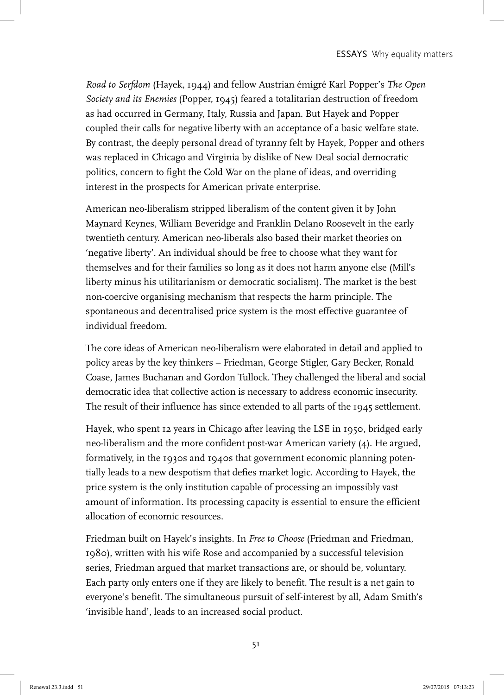*Road to Serfdom* (Hayek, 1944) and fellow Austrian émigré Karl Popper's *The Open Society and its Enemies* (Popper, 1945) feared a totalitarian destruction of freedom as had occurred in Germany, Italy, Russia and Japan. But Hayek and Popper coupled their calls for negative liberty with an acceptance of a basic welfare state. By contrast, the deeply personal dread of tyranny felt by Hayek, Popper and others was replaced in Chicago and Virginia by dislike of New Deal social democratic politics, concern to fight the Cold War on the plane of ideas, and overriding interest in the prospects for American private enterprise.

American neo-liberalism stripped liberalism of the content given it by John Maynard Keynes, William Beveridge and Franklin Delano Roosevelt in the early twentieth century. American neo-liberals also based their market theories on 'negative liberty'. An individual should be free to choose what they want for themselves and for their families so long as it does not harm anyone else (Mill's liberty minus his utilitarianism or democratic socialism). The market is the best non-coercive organising mechanism that respects the harm principle. The spontaneous and decentralised price system is the most effective guarantee of individual freedom.

The core ideas of American neo-liberalism were elaborated in detail and applied to policy areas by the key thinkers – Friedman, George Stigler, Gary Becker, Ronald Coase, James Buchanan and Gordon Tullock. They challenged the liberal and social democratic idea that collective action is necessary to address economic insecurity. The result of their influence has since extended to all parts of the 1945 settlement.

Hayek, who spent 12 years in Chicago after leaving the LSE in 1950, bridged early neo-liberalism and the more confident post-war American variety (4). He argued, formatively, in the 1930s and 1940s that government economic planning potentially leads to a new despotism that defies market logic. According to Hayek, the price system is the only institution capable of processing an impossibly vast amount of information. Its processing capacity is essential to ensure the efficient allocation of economic resources.

Friedman built on Hayek's insights. In *Free to Choose* (Friedman and Friedman, 1980), written with his wife Rose and accompanied by a successful television series, Friedman argued that market transactions are, or should be, voluntary. Each party only enters one if they are likely to benefit. The result is a net gain to everyone's benefit. The simultaneous pursuit of self-interest by all, Adam Smith's 'invisible hand', leads to an increased social product.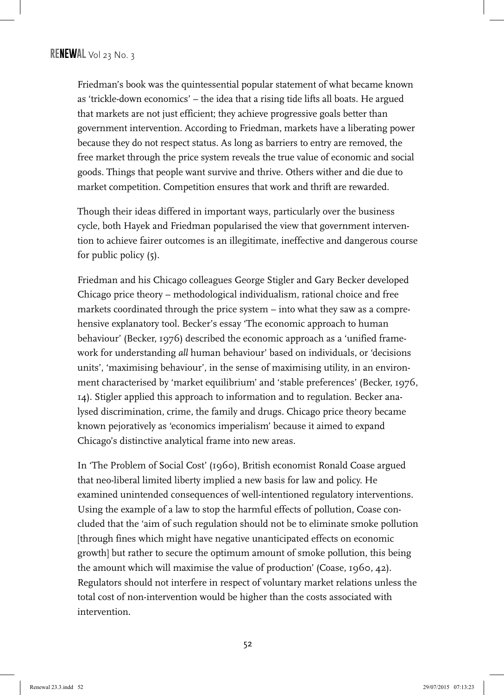Friedman's book was the quintessential popular statement of what became known as 'trickle-down economics' – the idea that a rising tide lifts all boats. He argued that markets are not just efficient; they achieve progressive goals better than government intervention. According to Friedman, markets have a liberating power because they do not respect status. As long as barriers to entry are removed, the free market through the price system reveals the true value of economic and social goods. Things that people want survive and thrive. Others wither and die due to market competition. Competition ensures that work and thrift are rewarded.

Though their ideas differed in important ways, particularly over the business cycle, both Hayek and Friedman popularised the view that government intervention to achieve fairer outcomes is an illegitimate, ineffective and dangerous course for public policy (5).

Friedman and his Chicago colleagues George Stigler and Gary Becker developed Chicago price theory – methodological individualism, rational choice and free markets coordinated through the price system – into what they saw as a comprehensive explanatory tool. Becker's essay 'The economic approach to human behaviour' (Becker, 1976) described the economic approach as a 'unified framework for understanding *all* human behaviour' based on individuals, or 'decisions units', 'maximising behaviour', in the sense of maximising utility, in an environment characterised by 'market equilibrium' and 'stable preferences' (Becker, 1976, 14). Stigler applied this approach to information and to regulation. Becker analysed discrimination, crime, the family and drugs. Chicago price theory became known pejoratively as 'economics imperialism' because it aimed to expand Chicago's distinctive analytical frame into new areas.

In 'The Problem of Social Cost' (1960), British economist Ronald Coase argued that neo-liberal limited liberty implied a new basis for law and policy. He examined unintended consequences of well-intentioned regulatory interventions. Using the example of a law to stop the harmful effects of pollution, Coase concluded that the 'aim of such regulation should not be to eliminate smoke pollution [through fines which might have negative unanticipated effects on economic growth] but rather to secure the optimum amount of smoke pollution, this being the amount which will maximise the value of production' (Coase, 1960, 42). Regulators should not interfere in respect of voluntary market relations unless the total cost of non-intervention would be higher than the costs associated with intervention.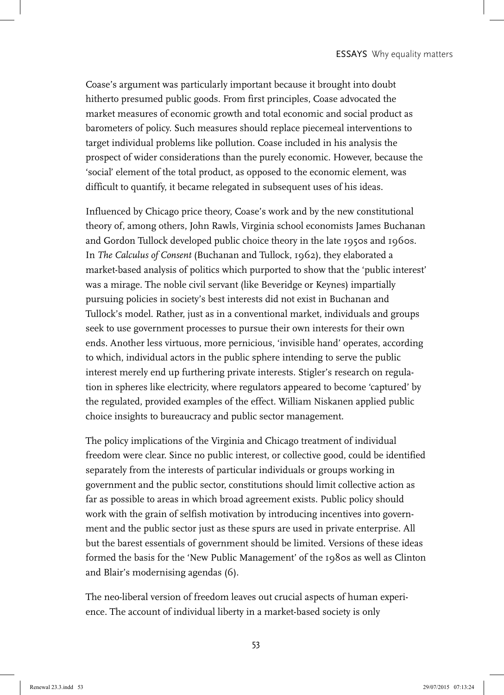Coase's argument was particularly important because it brought into doubt hitherto presumed public goods. From first principles, Coase advocated the market measures of economic growth and total economic and social product as barometers of policy. Such measures should replace piecemeal interventions to target individual problems like pollution. Coase included in his analysis the prospect of wider considerations than the purely economic. However, because the 'social' element of the total product, as opposed to the economic element, was difficult to quantify, it became relegated in subsequent uses of his ideas.

Influenced by Chicago price theory, Coase's work and by the new constitutional theory of, among others, John Rawls, Virginia school economists James Buchanan and Gordon Tullock developed public choice theory in the late 1950s and 1960s. In *The Calculus of Consent* (Buchanan and Tullock, 1962), they elaborated a market-based analysis of politics which purported to show that the 'public interest' was a mirage. The noble civil servant (like Beveridge or Keynes) impartially pursuing policies in society's best interests did not exist in Buchanan and Tullock's model. Rather, just as in a conventional market, individuals and groups seek to use government processes to pursue their own interests for their own ends. Another less virtuous, more pernicious, 'invisible hand' operates, according to which, individual actors in the public sphere intending to serve the public interest merely end up furthering private interests. Stigler's research on regulation in spheres like electricity, where regulators appeared to become 'captured' by the regulated, provided examples of the effect. William Niskanen applied public choice insights to bureaucracy and public sector management.

The policy implications of the Virginia and Chicago treatment of individual freedom were clear. Since no public interest, or collective good, could be identified separately from the interests of particular individuals or groups working in government and the public sector, constitutions should limit collective action as far as possible to areas in which broad agreement exists. Public policy should work with the grain of selfish motivation by introducing incentives into government and the public sector just as these spurs are used in private enterprise. All but the barest essentials of government should be limited. Versions of these ideas formed the basis for the 'New Public Management' of the 1980s as well as Clinton and Blair's modernising agendas (6).

The neo-liberal version of freedom leaves out crucial aspects of human experience. The account of individual liberty in a market-based society is only

53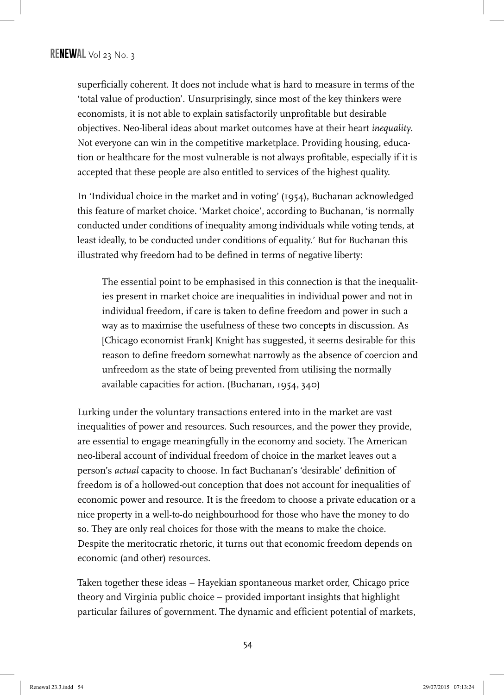superficially coherent. It does not include what is hard to measure in terms of the 'total value of production'. Unsurprisingly, since most of the key thinkers were economists, it is not able to explain satisfactorily unprofitable but desirable objectives. Neo-liberal ideas about market outcomes have at their heart *inequality*. Not everyone can win in the competitive marketplace. Providing housing, education or healthcare for the most vulnerable is not always profitable, especially if it is accepted that these people are also entitled to services of the highest quality.

In 'Individual choice in the market and in voting' (1954), Buchanan acknowledged this feature of market choice. 'Market choice', according to Buchanan, 'is normally conducted under conditions of inequality among individuals while voting tends, at least ideally, to be conducted under conditions of equality.' But for Buchanan this illustrated why freedom had to be defined in terms of negative liberty:

The essential point to be emphasised in this connection is that the inequalities present in market choice are inequalities in individual power and not in individual freedom, if care is taken to define freedom and power in such a way as to maximise the usefulness of these two concepts in discussion. As [Chicago economist Frank] Knight has suggested, it seems desirable for this reason to define freedom somewhat narrowly as the absence of coercion and unfreedom as the state of being prevented from utilising the normally available capacities for action. (Buchanan, 1954, 340)

Lurking under the voluntary transactions entered into in the market are vast inequalities of power and resources. Such resources, and the power they provide, are essential to engage meaningfully in the economy and society. The American neo-liberal account of individual freedom of choice in the market leaves out a person's *actual* capacity to choose. In fact Buchanan's 'desirable' definition of freedom is of a hollowed-out conception that does not account for inequalities of economic power and resource. It is the freedom to choose a private education or a nice property in a well-to-do neighbourhood for those who have the money to do so. They are only real choices for those with the means to make the choice. Despite the meritocratic rhetoric, it turns out that economic freedom depends on economic (and other) resources.

Taken together these ideas – Hayekian spontaneous market order, Chicago price theory and Virginia public choice – provided important insights that highlight particular failures of government. The dynamic and efficient potential of markets,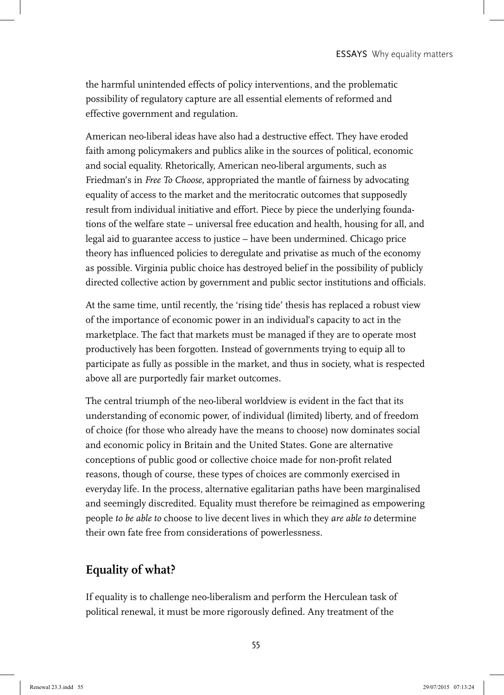the harmful unintended effects of policy interventions, and the problematic possibility of regulatory capture are all essential elements of reformed and effective government and regulation.

American neo-liberal ideas have also had a destructive effect. They have eroded faith among policymakers and publics alike in the sources of political, economic and social equality. Rhetorically, American neo-liberal arguments, such as Friedman's in *Free To Choose*, appropriated the mantle of fairness by advocating equality of access to the market and the meritocratic outcomes that supposedly result from individual initiative and effort. Piece by piece the underlying foundations of the welfare state – universal free education and health, housing for all, and legal aid to guarantee access to justice – have been undermined. Chicago price theory has influenced policies to deregulate and privatise as much of the economy as possible. Virginia public choice has destroyed belief in the possibility of publicly directed collective action by government and public sector institutions and officials.

At the same time, until recently, the 'rising tide' thesis has replaced a robust view of the importance of economic power in an individual's capacity to act in the marketplace. The fact that markets must be managed if they are to operate most productively has been forgotten. Instead of governments trying to equip all to participate as fully as possible in the market, and thus in society, what is respected above all are purportedly fair market outcomes.

The central triumph of the neo-liberal worldview is evident in the fact that its understanding of economic power, of individual (limited) liberty, and of freedom of choice (for those who already have the means to choose) now dominates social and economic policy in Britain and the United States. Gone are alternative conceptions of public good or collective choice made for non-profit related reasons, though of course, these types of choices are commonly exercised in everyday life. In the process, alternative egalitarian paths have been marginalised and seemingly discredited. Equality must therefore be reimagined as empowering people *to be able to* choose to live decent lives in which they *are able to* determine their own fate free from considerations of powerlessness.

## **Equality of what?**

If equality is to challenge neo-liberalism and perform the Herculean task of political renewal, it must be more rigorously defined. Any treatment of the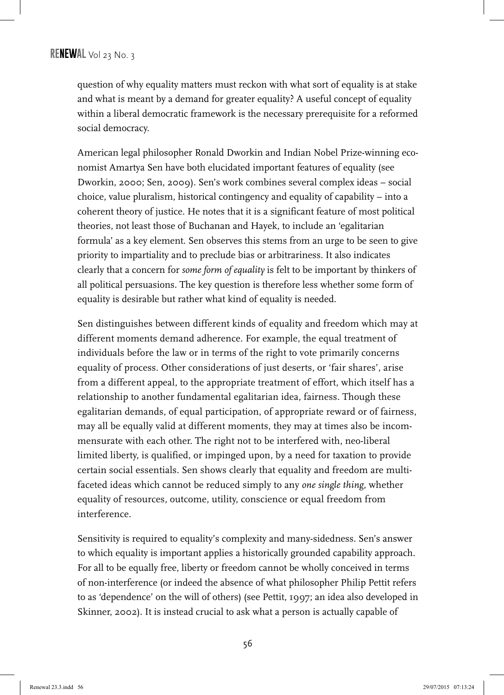question of why equality matters must reckon with what sort of equality is at stake and what is meant by a demand for greater equality? A useful concept of equality within a liberal democratic framework is the necessary prerequisite for a reformed social democracy.

American legal philosopher Ronald Dworkin and Indian Nobel Prize-winning economist Amartya Sen have both elucidated important features of equality (see Dworkin, 2000; Sen, 2009). Sen's work combines several complex ideas – social choice, value pluralism, historical contingency and equality of capability – into a coherent theory of justice. He notes that it is a significant feature of most political theories, not least those of Buchanan and Hayek, to include an 'egalitarian formula' as a key element. Sen observes this stems from an urge to be seen to give priority to impartiality and to preclude bias or arbitrariness. It also indicates clearly that a concern for *some form of equality* is felt to be important by thinkers of all political persuasions. The key question is therefore less whether some form of equality is desirable but rather what kind of equality is needed.

Sen distinguishes between different kinds of equality and freedom which may at different moments demand adherence. For example, the equal treatment of individuals before the law or in terms of the right to vote primarily concerns equality of process. Other considerations of just deserts, or 'fair shares', arise from a different appeal, to the appropriate treatment of effort, which itself has a relationship to another fundamental egalitarian idea, fairness. Though these egalitarian demands, of equal participation, of appropriate reward or of fairness, may all be equally valid at different moments, they may at times also be incommensurate with each other. The right not to be interfered with, neo-liberal limited liberty, is qualified, or impinged upon, by a need for taxation to provide certain social essentials. Sen shows clearly that equality and freedom are multifaceted ideas which cannot be reduced simply to any *one single thing*, whether equality of resources, outcome, utility, conscience or equal freedom from interference.

Sensitivity is required to equality's complexity and many-sidedness. Sen's answer to which equality is important applies a historically grounded capability approach. For all to be equally free, liberty or freedom cannot be wholly conceived in terms of non-interference (or indeed the absence of what philosopher Philip Pettit refers to as 'dependence' on the will of others) (see Pettit, 1997; an idea also developed in Skinner, 2002). It is instead crucial to ask what a person is actually capable of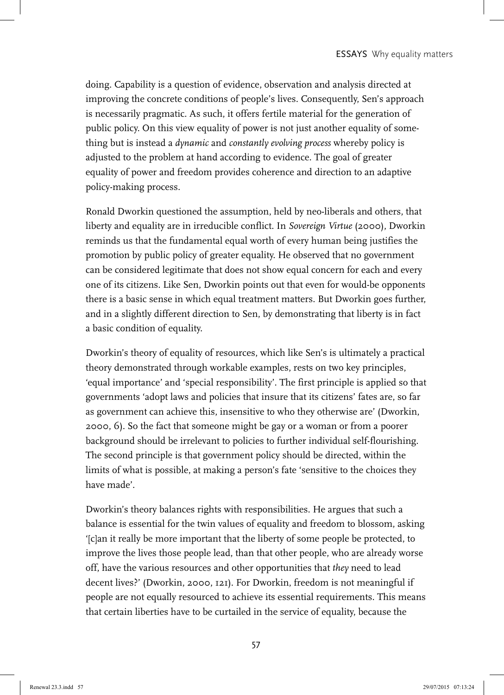doing. Capability is a question of evidence, observation and analysis directed at improving the concrete conditions of people's lives. Consequently, Sen's approach is necessarily pragmatic. As such, it offers fertile material for the generation of public policy. On this view equality of power is not just another equality of something but is instead a *dynamic* and *constantly evolving process* whereby policy is adjusted to the problem at hand according to evidence. The goal of greater equality of power and freedom provides coherence and direction to an adaptive policy-making process.

Ronald Dworkin questioned the assumption, held by neo-liberals and others, that liberty and equality are in irreducible conflict. In *Sovereign Virtue* (2000), Dworkin reminds us that the fundamental equal worth of every human being justifies the promotion by public policy of greater equality. He observed that no government can be considered legitimate that does not show equal concern for each and every one of its citizens. Like Sen, Dworkin points out that even for would-be opponents there is a basic sense in which equal treatment matters. But Dworkin goes further, and in a slightly different direction to Sen, by demonstrating that liberty is in fact a basic condition of equality.

Dworkin's theory of equality of resources, which like Sen's is ultimately a practical theory demonstrated through workable examples, rests on two key principles, 'equal importance' and 'special responsibility'. The first principle is applied so that governments 'adopt laws and policies that insure that its citizens' fates are, so far as government can achieve this, insensitive to who they otherwise are' (Dworkin, 2000, 6). So the fact that someone might be gay or a woman or from a poorer background should be irrelevant to policies to further individual self-flourishing. The second principle is that government policy should be directed, within the limits of what is possible, at making a person's fate 'sensitive to the choices they have made'.

Dworkin's theory balances rights with responsibilities. He argues that such a balance is essential for the twin values of equality and freedom to blossom, asking '[c]an it really be more important that the liberty of some people be protected, to improve the lives those people lead, than that other people, who are already worse off, have the various resources and other opportunities that *they* need to lead decent lives?' (Dworkin, 2000, 121). For Dworkin, freedom is not meaningful if people are not equally resourced to achieve its essential requirements. This means that certain liberties have to be curtailed in the service of equality, because the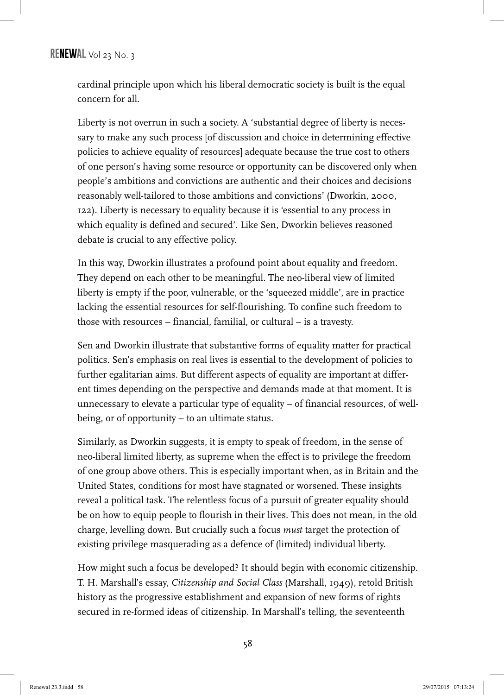cardinal principle upon which his liberal democratic society is built is the equal concern for all.

Liberty is not overrun in such a society. A 'substantial degree of liberty is necessary to make any such process [of discussion and choice in determining effective policies to achieve equality of resources] adequate because the true cost to others of one person's having some resource or opportunity can be discovered only when people's ambitions and convictions are authentic and their choices and decisions reasonably well-tailored to those ambitions and convictions' (Dworkin, 2000, 122). Liberty is necessary to equality because it is 'essential to any process in which equality is defined and secured'. Like Sen, Dworkin believes reasoned debate is crucial to any effective policy.

In this way, Dworkin illustrates a profound point about equality and freedom. They depend on each other to be meaningful. The neo-liberal view of limited liberty is empty if the poor, vulnerable, or the 'squeezed middle', are in practice lacking the essential resources for self-flourishing. To confine such freedom to those with resources – financial, familial, or cultural – is a travesty.

Sen and Dworkin illustrate that substantive forms of equality matter for practical politics. Sen's emphasis on real lives is essential to the development of policies to further egalitarian aims. But different aspects of equality are important at different times depending on the perspective and demands made at that moment. It is unnecessary to elevate a particular type of equality – of financial resources, of wellbeing, or of opportunity – to an ultimate status.

Similarly, as Dworkin suggests, it is empty to speak of freedom, in the sense of neo-liberal limited liberty, as supreme when the effect is to privilege the freedom of one group above others. This is especially important when, as in Britain and the United States, conditions for most have stagnated or worsened. These insights reveal a political task. The relentless focus of a pursuit of greater equality should be on how to equip people to flourish in their lives. This does not mean, in the old charge, levelling down. But crucially such a focus *must* target the protection of existing privilege masquerading as a defence of (limited) individual liberty.

How might such a focus be developed? It should begin with economic citizenship. T. H. Marshall's essay, *Citizenship and Social Class* (Marshall, 1949), retold British history as the progressive establishment and expansion of new forms of rights secured in re-formed ideas of citizenship. In Marshall's telling, the seventeenth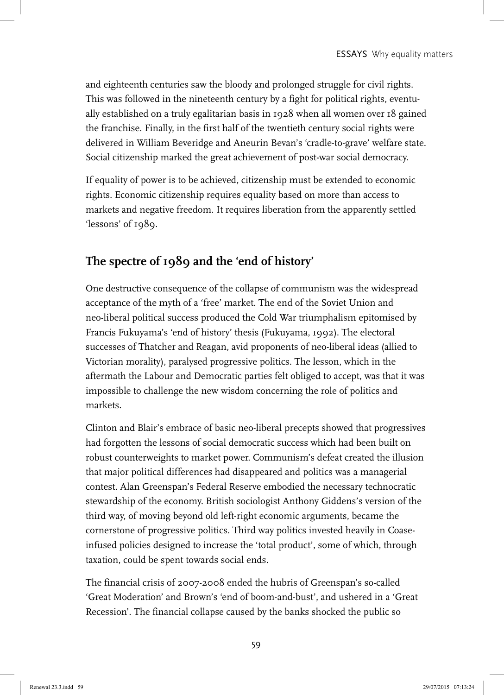and eighteenth centuries saw the bloody and prolonged struggle for civil rights. This was followed in the nineteenth century by a fight for political rights, eventually established on a truly egalitarian basis in 1928 when all women over 18 gained the franchise. Finally, in the first half of the twentieth century social rights were delivered in William Beveridge and Aneurin Bevan's 'cradle-to-grave' welfare state. Social citizenship marked the great achievement of post-war social democracy.

If equality of power is to be achieved, citizenship must be extended to economic rights. Economic citizenship requires equality based on more than access to markets and negative freedom. It requires liberation from the apparently settled 'lessons' of 1989.

# **The spectre of 1989 and the 'end of history'**

One destructive consequence of the collapse of communism was the widespread acceptance of the myth of a 'free' market. The end of the Soviet Union and neo-liberal political success produced the Cold War triumphalism epitomised by Francis Fukuyama's 'end of history' thesis (Fukuyama, 1992). The electoral successes of Thatcher and Reagan, avid proponents of neo-liberal ideas (allied to Victorian morality), paralysed progressive politics. The lesson, which in the aftermath the Labour and Democratic parties felt obliged to accept, was that it was impossible to challenge the new wisdom concerning the role of politics and markets.

Clinton and Blair's embrace of basic neo-liberal precepts showed that progressives had forgotten the lessons of social democratic success which had been built on robust counterweights to market power. Communism's defeat created the illusion that major political differences had disappeared and politics was a managerial contest. Alan Greenspan's Federal Reserve embodied the necessary technocratic stewardship of the economy. British sociologist Anthony Giddens's version of the third way, of moving beyond old left-right economic arguments, became the cornerstone of progressive politics. Third way politics invested heavily in Coaseinfused policies designed to increase the 'total product', some of which, through taxation, could be spent towards social ends.

The financial crisis of 2007-2008 ended the hubris of Greenspan's so-called 'Great Moderation' and Brown's 'end of boom-and-bust', and ushered in a 'Great Recession'. The financial collapse caused by the banks shocked the public so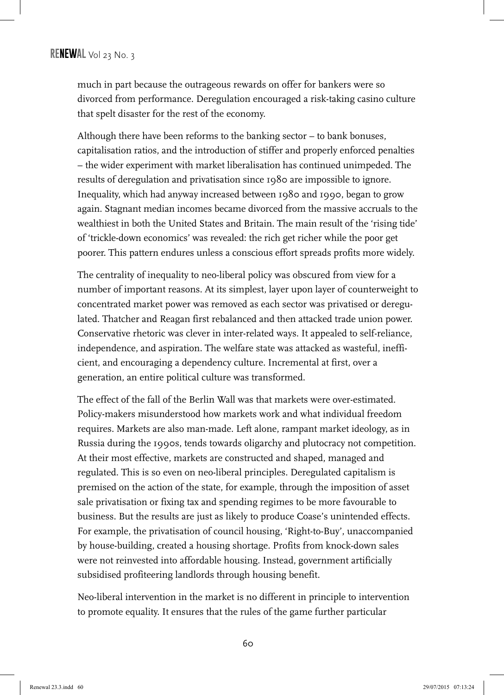much in part because the outrageous rewards on offer for bankers were so divorced from performance. Deregulation encouraged a risk-taking casino culture that spelt disaster for the rest of the economy.

Although there have been reforms to the banking sector – to bank bonuses, capitalisation ratios, and the introduction of stiffer and properly enforced penalties – the wider experiment with market liberalisation has continued unimpeded. The results of deregulation and privatisation since 1980 are impossible to ignore. Inequality, which had anyway increased between 1980 and 1990, began to grow again. Stagnant median incomes became divorced from the massive accruals to the wealthiest in both the United States and Britain. The main result of the 'rising tide' of 'trickle-down economics' was revealed: the rich get richer while the poor get poorer. This pattern endures unless a conscious effort spreads profits more widely.

The centrality of inequality to neo-liberal policy was obscured from view for a number of important reasons. At its simplest, layer upon layer of counterweight to concentrated market power was removed as each sector was privatised or deregulated. Thatcher and Reagan first rebalanced and then attacked trade union power. Conservative rhetoric was clever in inter-related ways. It appealed to self-reliance, independence, and aspiration. The welfare state was attacked as wasteful, inefficient, and encouraging a dependency culture. Incremental at first, over a generation, an entire political culture was transformed.

The effect of the fall of the Berlin Wall was that markets were over-estimated. Policy-makers misunderstood how markets work and what individual freedom requires. Markets are also man-made. Left alone, rampant market ideology, as in Russia during the 1990s, tends towards oligarchy and plutocracy not competition. At their most effective, markets are constructed and shaped, managed and regulated. This is so even on neo-liberal principles. Deregulated capitalism is premised on the action of the state, for example, through the imposition of asset sale privatisation or fixing tax and spending regimes to be more favourable to business. But the results are just as likely to produce Coase's unintended effects. For example, the privatisation of council housing, 'Right-to-Buy', unaccompanied by house-building, created a housing shortage. Profits from knock-down sales were not reinvested into affordable housing. Instead, government artificially subsidised profiteering landlords through housing benefit.

Neo-liberal intervention in the market is no different in principle to intervention to promote equality. It ensures that the rules of the game further particular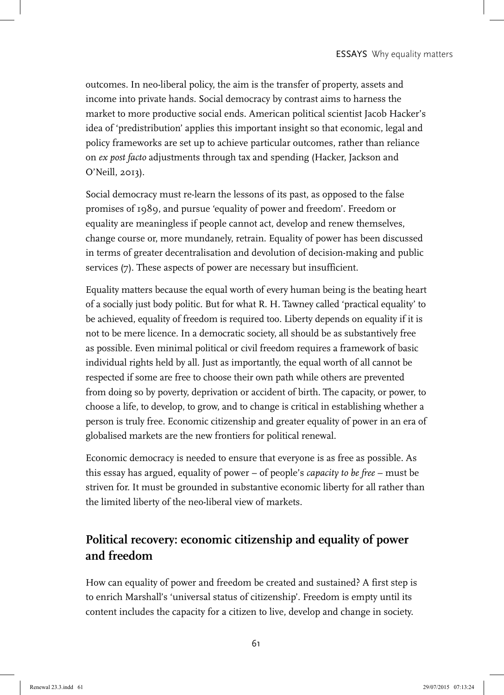outcomes. In neo-liberal policy, the aim is the transfer of property, assets and income into private hands. Social democracy by contrast aims to harness the market to more productive social ends. American political scientist Jacob Hacker's idea of 'predistribution' applies this important insight so that economic, legal and policy frameworks are set up to achieve particular outcomes, rather than reliance on *ex post facto* adjustments through tax and spending (Hacker, Jackson and O'Neill, 2013).

Social democracy must re-learn the lessons of its past, as opposed to the false promises of 1989, and pursue 'equality of power and freedom'. Freedom or equality are meaningless if people cannot act, develop and renew themselves, change course or, more mundanely, retrain. Equality of power has been discussed in terms of greater decentralisation and devolution of decision-making and public services (7). These aspects of power are necessary but insufficient.

Equality matters because the equal worth of every human being is the beating heart of a socially just body politic. But for what R. H. Tawney called 'practical equality' to be achieved, equality of freedom is required too. Liberty depends on equality if it is not to be mere licence. In a democratic society, all should be as substantively free as possible. Even minimal political or civil freedom requires a framework of basic individual rights held by all. Just as importantly, the equal worth of all cannot be respected if some are free to choose their own path while others are prevented from doing so by poverty, deprivation or accident of birth. The capacity, or power, to choose a life, to develop, to grow, and to change is critical in establishing whether a person is truly free. Economic citizenship and greater equality of power in an era of globalised markets are the new frontiers for political renewal.

Economic democracy is needed to ensure that everyone is as free as possible. As this essay has argued, equality of power – of people's *capacity to be free* – must be striven for. It must be grounded in substantive economic liberty for all rather than the limited liberty of the neo-liberal view of markets.

# **Political recovery: economic citizenship and equality of power and freedom**

How can equality of power and freedom be created and sustained? A first step is to enrich Marshall's 'universal status of citizenship'. Freedom is empty until its content includes the capacity for a citizen to live, develop and change in society.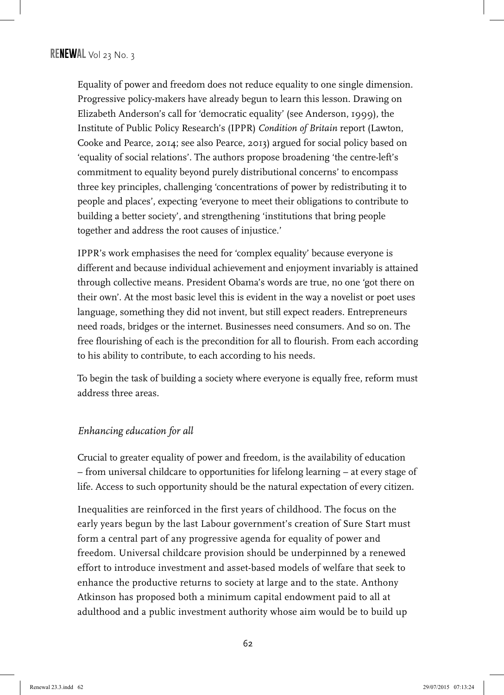Equality of power and freedom does not reduce equality to one single dimension. Progressive policy-makers have already begun to learn this lesson. Drawing on Elizabeth Anderson's call for 'democratic equality' (see Anderson, 1999), the Institute of Public Policy Research's (IPPR) *Condition of Britain* report (Lawton, Cooke and Pearce, 2014; see also Pearce, 2013) argued for social policy based on 'equality of social relations'. The authors propose broadening 'the centre-left's commitment to equality beyond purely distributional concerns' to encompass three key principles, challenging 'concentrations of power by redistributing it to people and places', expecting 'everyone to meet their obligations to contribute to building a better society', and strengthening 'institutions that bring people together and address the root causes of injustice.'

IPPR's work emphasises the need for 'complex equality' because everyone is different and because individual achievement and enjoyment invariably is attained through collective means. President Obama's words are true, no one 'got there on their own'. At the most basic level this is evident in the way a novelist or poet uses language, something they did not invent, but still expect readers. Entrepreneurs need roads, bridges or the internet. Businesses need consumers. And so on. The free flourishing of each is the precondition for all to flourish. From each according to his ability to contribute, to each according to his needs.

To begin the task of building a society where everyone is equally free, reform must address three areas.

#### *Enhancing education for all*

Crucial to greater equality of power and freedom, is the availability of education – from universal childcare to opportunities for lifelong learning – at every stage of life. Access to such opportunity should be the natural expectation of every citizen.

Inequalities are reinforced in the first years of childhood. The focus on the early years begun by the last Labour government's creation of Sure Start must form a central part of any progressive agenda for equality of power and freedom. Universal childcare provision should be underpinned by a renewed effort to introduce investment and asset-based models of welfare that seek to enhance the productive returns to society at large and to the state. Anthony Atkinson has proposed both a minimum capital endowment paid to all at adulthood and a public investment authority whose aim would be to build up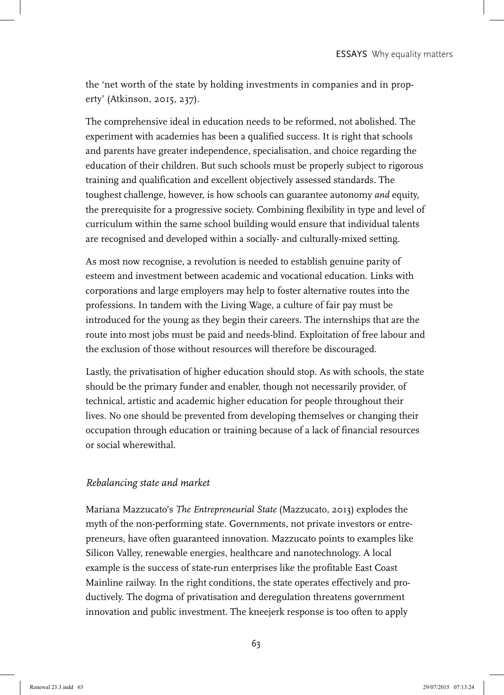the 'net worth of the state by holding investments in companies and in property' (Atkinson, 2015, 237).

The comprehensive ideal in education needs to be reformed, not abolished. The experiment with academies has been a qualified success. It is right that schools and parents have greater independence, specialisation, and choice regarding the education of their children. But such schools must be properly subject to rigorous training and qualification and excellent objectively assessed standards. The toughest challenge, however, is how schools can guarantee autonomy *and* equity, the prerequisite for a progressive society. Combining flexibility in type and level of curriculum within the same school building would ensure that individual talents are recognised and developed within a socially- and culturally-mixed setting.

As most now recognise, a revolution is needed to establish genuine parity of esteem and investment between academic and vocational education. Links with corporations and large employers may help to foster alternative routes into the professions. In tandem with the Living Wage, a culture of fair pay must be introduced for the young as they begin their careers. The internships that are the route into most jobs must be paid and needs-blind. Exploitation of free labour and the exclusion of those without resources will therefore be discouraged.

Lastly, the privatisation of higher education should stop. As with schools, the state should be the primary funder and enabler, though not necessarily provider, of technical, artistic and academic higher education for people throughout their lives. No one should be prevented from developing themselves or changing their occupation through education or training because of a lack of financial resources or social wherewithal.

#### *Rebalancing state and market*

Mariana Mazzucato's *The Entrepreneurial State* (Mazzucato, 2013) explodes the myth of the non-performing state. Governments, not private investors or entrepreneurs, have often guaranteed innovation. Mazzucato points to examples like Silicon Valley, renewable energies, healthcare and nanotechnology. A local example is the success of state-run enterprises like the profitable East Coast Mainline railway. In the right conditions, the state operates effectively and productively. The dogma of privatisation and deregulation threatens government innovation and public investment. The kneejerk response is too often to apply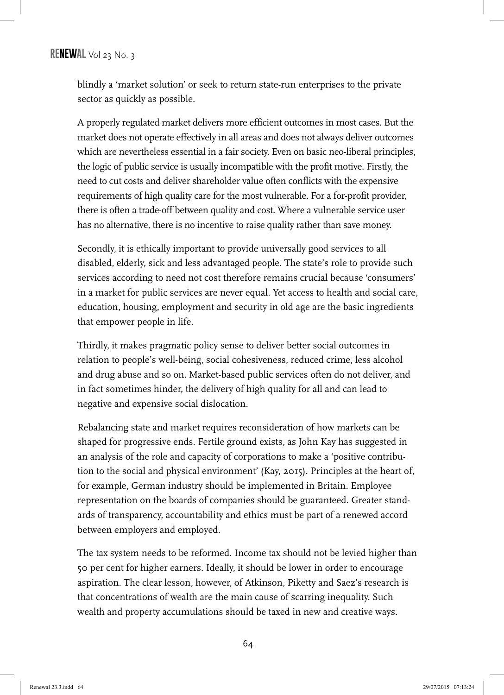blindly a 'market solution' or seek to return state-run enterprises to the private sector as quickly as possible.

A properly regulated market delivers more efficient outcomes in most cases. But the market does not operate effectively in all areas and does not always deliver outcomes which are nevertheless essential in a fair society. Even on basic neo-liberal principles, the logic of public service is usually incompatible with the profit motive. Firstly, the need to cut costs and deliver shareholder value often conflicts with the expensive requirements of high quality care for the most vulnerable. For a for-profit provider, there is often a trade-off between quality and cost. Where a vulnerable service user has no alternative, there is no incentive to raise quality rather than save money.

Secondly, it is ethically important to provide universally good services to all disabled, elderly, sick and less advantaged people. The state's role to provide such services according to need not cost therefore remains crucial because 'consumers' in a market for public services are never equal. Yet access to health and social care, education, housing, employment and security in old age are the basic ingredients that empower people in life.

Thirdly, it makes pragmatic policy sense to deliver better social outcomes in relation to people's well-being, social cohesiveness, reduced crime, less alcohol and drug abuse and so on. Market-based public services often do not deliver, and in fact sometimes hinder, the delivery of high quality for all and can lead to negative and expensive social dislocation.

Rebalancing state and market requires reconsideration of how markets can be shaped for progressive ends. Fertile ground exists, as John Kay has suggested in an analysis of the role and capacity of corporations to make a 'positive contribution to the social and physical environment' (Kay, 2015). Principles at the heart of, for example, German industry should be implemented in Britain. Employee representation on the boards of companies should be guaranteed. Greater standards of transparency, accountability and ethics must be part of a renewed accord between employers and employed.

The tax system needs to be reformed. Income tax should not be levied higher than 50 per cent for higher earners. Ideally, it should be lower in order to encourage aspiration. The clear lesson, however, of Atkinson, Piketty and Saez's research is that concentrations of wealth are the main cause of scarring inequality. Such wealth and property accumulations should be taxed in new and creative ways.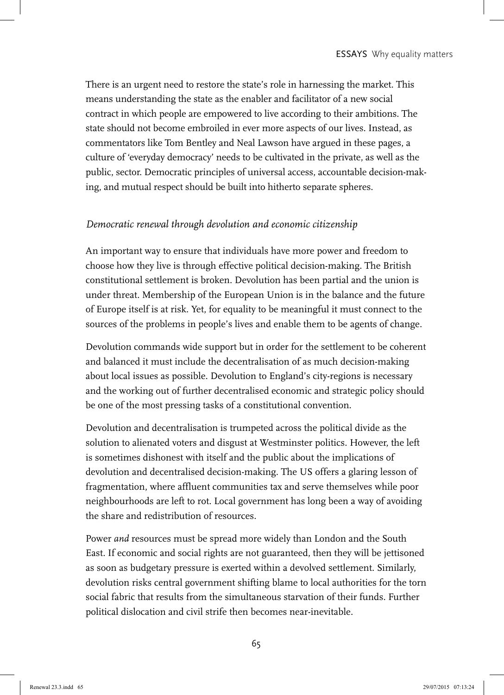There is an urgent need to restore the state's role in harnessing the market. This means understanding the state as the enabler and facilitator of a new social contract in which people are empowered to live according to their ambitions. The state should not become embroiled in ever more aspects of our lives. Instead, as commentators like Tom Bentley and Neal Lawson have argued in these pages, a culture of 'everyday democracy' needs to be cultivated in the private, as well as the public, sector. Democratic principles of universal access, accountable decision-making, and mutual respect should be built into hitherto separate spheres.

#### *Democratic renewal through devolution and economic citizenship*

An important way to ensure that individuals have more power and freedom to choose how they live is through effective political decision-making. The British constitutional settlement is broken. Devolution has been partial and the union is under threat. Membership of the European Union is in the balance and the future of Europe itself is at risk. Yet, for equality to be meaningful it must connect to the sources of the problems in people's lives and enable them to be agents of change.

Devolution commands wide support but in order for the settlement to be coherent and balanced it must include the decentralisation of as much decision-making about local issues as possible. Devolution to England's city-regions is necessary and the working out of further decentralised economic and strategic policy should be one of the most pressing tasks of a constitutional convention.

Devolution and decentralisation is trumpeted across the political divide as the solution to alienated voters and disgust at Westminster politics. However, the left is sometimes dishonest with itself and the public about the implications of devolution and decentralised decision-making. The US offers a glaring lesson of fragmentation, where affluent communities tax and serve themselves while poor neighbourhoods are left to rot. Local government has long been a way of avoiding the share and redistribution of resources.

Power *and* resources must be spread more widely than London and the South East. If economic and social rights are not guaranteed, then they will be jettisoned as soon as budgetary pressure is exerted within a devolved settlement. Similarly, devolution risks central government shifting blame to local authorities for the torn social fabric that results from the simultaneous starvation of their funds. Further political dislocation and civil strife then becomes near-inevitable.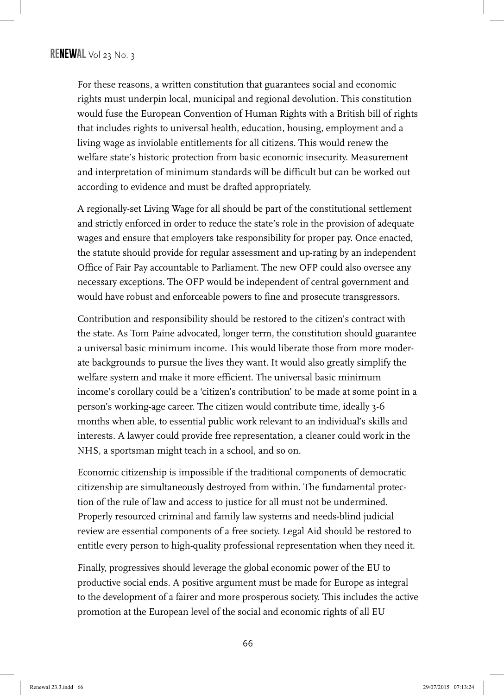For these reasons, a written constitution that guarantees social and economic rights must underpin local, municipal and regional devolution. This constitution would fuse the European Convention of Human Rights with a British bill of rights that includes rights to universal health, education, housing, employment and a living wage as inviolable entitlements for all citizens. This would renew the welfare state's historic protection from basic economic insecurity. Measurement and interpretation of minimum standards will be difficult but can be worked out according to evidence and must be drafted appropriately.

A regionally-set Living Wage for all should be part of the constitutional settlement and strictly enforced in order to reduce the state's role in the provision of adequate wages and ensure that employers take responsibility for proper pay. Once enacted, the statute should provide for regular assessment and up-rating by an independent Office of Fair Pay accountable to Parliament. The new OFP could also oversee any necessary exceptions. The OFP would be independent of central government and would have robust and enforceable powers to fine and prosecute transgressors.

Contribution and responsibility should be restored to the citizen's contract with the state. As Tom Paine advocated, longer term, the constitution should guarantee a universal basic minimum income. This would liberate those from more moderate backgrounds to pursue the lives they want. It would also greatly simplify the welfare system and make it more efficient. The universal basic minimum income's corollary could be a 'citizen's contribution' to be made at some point in a person's working-age career. The citizen would contribute time, ideally 3-6 months when able, to essential public work relevant to an individual's skills and interests. A lawyer could provide free representation, a cleaner could work in the NHS, a sportsman might teach in a school, and so on.

Economic citizenship is impossible if the traditional components of democratic citizenship are simultaneously destroyed from within. The fundamental protection of the rule of law and access to justice for all must not be undermined. Properly resourced criminal and family law systems and needs-blind judicial review are essential components of a free society. Legal Aid should be restored to entitle every person to high-quality professional representation when they need it.

Finally, progressives should leverage the global economic power of the EU to productive social ends. A positive argument must be made for Europe as integral to the development of a fairer and more prosperous society. This includes the active promotion at the European level of the social and economic rights of all EU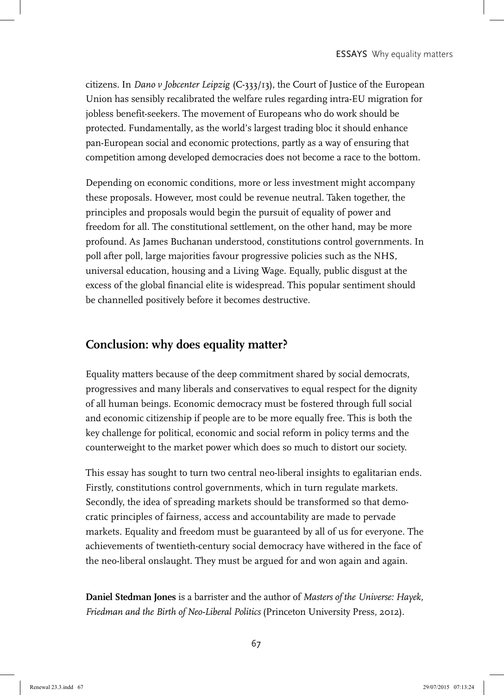citizens. In *Dano v Jobcenter Leipzig* (C-333/13), the Court of Justice of the European Union has sensibly recalibrated the welfare rules regarding intra-EU migration for jobless benefit-seekers. The movement of Europeans who do work should be protected. Fundamentally, as the world's largest trading bloc it should enhance pan-European social and economic protections, partly as a way of ensuring that competition among developed democracies does not become a race to the bottom.

Depending on economic conditions, more or less investment might accompany these proposals. However, most could be revenue neutral. Taken together, the principles and proposals would begin the pursuit of equality of power and freedom for all. The constitutional settlement, on the other hand, may be more profound. As James Buchanan understood, constitutions control governments. In poll after poll, large majorities favour progressive policies such as the NHS, universal education, housing and a Living Wage. Equally, public disgust at the excess of the global financial elite is widespread. This popular sentiment should be channelled positively before it becomes destructive.

## **Conclusion: why does equality matter?**

Equality matters because of the deep commitment shared by social democrats, progressives and many liberals and conservatives to equal respect for the dignity of all human beings. Economic democracy must be fostered through full social and economic citizenship if people are to be more equally free. This is both the key challenge for political, economic and social reform in policy terms and the counterweight to the market power which does so much to distort our society.

This essay has sought to turn two central neo-liberal insights to egalitarian ends. Firstly, constitutions control governments, which in turn regulate markets. Secondly, the idea of spreading markets should be transformed so that democratic principles of fairness, access and accountability are made to pervade markets. Equality and freedom must be guaranteed by all of us for everyone. The achievements of twentieth-century social democracy have withered in the face of the neo-liberal onslaught. They must be argued for and won again and again.

**Daniel Stedman Jones** is a barrister and the author of *Masters of the Universe: Hayek, Friedman and the Birth of Neo-Liberal Politics* (Princeton University Press, 2012).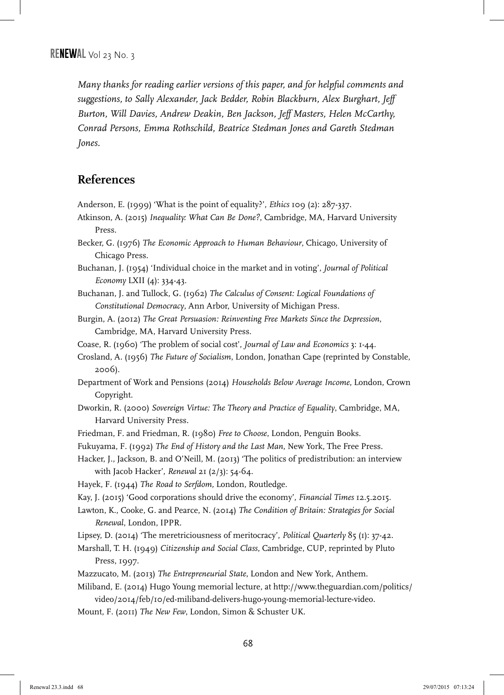*Many thanks for reading earlier versions of this paper, and for helpful comments and suggestions, to Sally Alexander, Jack Bedder, Robin Blackburn, Alex Burghart, Jeff Burton, Will Davies, Andrew Deakin, Ben Jackson, Jeff Masters, Helen McCarthy, Conrad Persons, Emma Rothschild, Beatrice Stedman Jones and Gareth Stedman Jones.*

### **References**

Anderson, E. (1999) 'What is the point of equality?', *Ethics* 109 (2): 287-337.

- Atkinson, A. (2015) *Inequality: What Can Be Done?*, Cambridge, MA, Harvard University Press.
- Becker, G. (1976) *The Economic Approach to Human Behaviour*, Chicago, University of Chicago Press.
- Buchanan, J. (1954) 'Individual choice in the market and in voting', *Journal of Political Economy* LXII (4): 334-43.
- Buchanan, J. and Tullock, G. (1962) *The Calculus of Consent: Logical Foundations of Constitutional Democracy*, Ann Arbor, University of Michigan Press.
- Burgin, A. (2012) *The Great Persuasion: Reinventing Free Markets Since the Depression*, Cambridge, MA, Harvard University Press.
- Coase, R. (1960) 'The problem of social cost', *Journal of Law and Economics* 3: 1-44.
- Crosland, A. (1956) *The Future of Socialism*, London, Jonathan Cape (reprinted by Constable, 2006).
- Department of Work and Pensions (2014) *Households Below Average Income*, London, Crown Copyright.
- Dworkin, R. (2000) *Sovereign Virtue: The Theory and Practice of Equality*, Cambridge, MA, Harvard University Press.
- Friedman, F. and Friedman, R. (1980) *Free to Choose*, London, Penguin Books.
- Fukuyama, F. (1992) *The End of History and the Last Man*, New York, The Free Press.
- Hacker, J., Jackson, B. and O'Neill, M. (2013) 'The politics of predistribution: an interview with Jacob Hacker', *Renewal* 21 (2/3): 54-64.
- Hayek, F. (1944) *The Road to Serfdom,* London, Routledge.
- Kay, J. (2015) 'Good corporations should drive the economy', *Financial Times* 12.5.2015.
- Lawton, K., Cooke, G. and Pearce, N. (2014) *The Condition of Britain: Strategies for Social Renewal*, London, IPPR.

Lipsey, D. (2014) 'The meretriciousness of meritocracy', *Political Quarterly* 85 (1): 37-42.

- Marshall, T. H. (1949) *Citizenship and Social Class*, Cambridge, CUP, reprinted by Pluto Press, 1997.
- Mazzucato, M. (2013) *The Entrepreneurial State*, London and New York, Anthem.
- Miliband, E. (2014) Hugo Young memorial lecture, at http://www.theguardian.com/politics/ video/2014/feb/10/ed-miliband-delivers-hugo-young-memorial-lecture-video.
- Mount, F. (2011) *The New Few*, London, Simon & Schuster UK.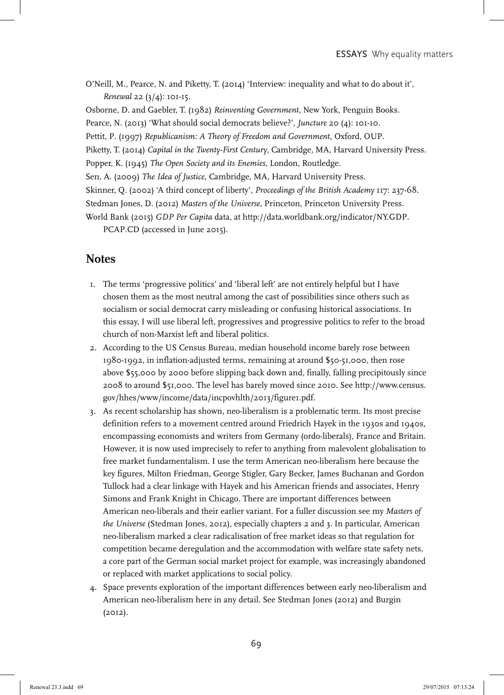O'Neill, M., Pearce, N. and Piketty, T. (2014) 'Interview: inequality and what to do about it', *Renewal* 22 (3/4): 101-15.

Osborne, D. and Gaebler, T. (1982) *Reinventing Government*, New York, Penguin Books.

Pearce, N. (2013) 'What should social democrats believe?', *Juncture* 20 (4): 101-10.

Pettit, P. (1997) *Republicanism: A Theory of Freedom and Government*, Oxford, OUP.

Piketty, T. (2014) *Capital in the Twenty-First Century*, Cambridge, MA, Harvard University Press.

Popper, K. (1945) *The Open Society and its Enemies*, London, Routledge.

Sen, A. (2009) *The Idea of Justice*, Cambridge, MA, Harvard University Press.

Skinner, Q. (2002) 'A third concept of liberty', *Proceedings of the British Academy* 117: 237-68.

Stedman Jones, D. (2012) *Masters of the Universe*, Princeton, Princeton University Press.

World Bank (2015) *GDP Per Capita* data, at http://data.worldbank.org/indicator/NY.GDP.

PCAP.CD (accessed in June 2015).

#### **Notes**

- 1. The terms 'progressive politics' and 'liberal left' are not entirely helpful but I have chosen them as the most neutral among the cast of possibilities since others such as socialism or social democrat carry misleading or confusing historical associations. In this essay, I will use liberal left, progressives and progressive politics to refer to the broad church of non-Marxist left and liberal politics.
- 2. According to the US Census Bureau, median household income barely rose between 1980-1992, in inflation-adjusted terms, remaining at around \$50-51,000, then rose above \$55,000 by 2000 before slipping back down and, finally, falling precipitously since 2008 to around \$51,000. The level has barely moved since 2010. See http://www.census. gov/hhes/www/income/data/incpovhlth/2013/figure1.pdf.
- 3. As recent scholarship has shown, neo-liberalism is a problematic term. Its most precise definition refers to a movement centred around Friedrich Hayek in the 1930s and 1940s, encompassing economists and writers from Germany (ordo-liberals), France and Britain. However, it is now used imprecisely to refer to anything from malevolent globalisation to free market fundamentalism. I use the term American neo-liberalism here because the key figures, Milton Friedman, George Stigler, Gary Becker, James Buchanan and Gordon Tullock had a clear linkage with Hayek and his American friends and associates, Henry Simons and Frank Knight in Chicago. There are important differences between American neo-liberals and their earlier variant. For a fuller discussion see my *Masters of the Universe* (Stedman Jones, 2012), especially chapters 2 and 3. In particular, American neo-liberalism marked a clear radicalisation of free market ideas so that regulation for competition became deregulation and the accommodation with welfare state safety nets, a core part of the German social market project for example, was increasingly abandoned or replaced with market applications to social policy.
- 4. Space prevents exploration of the important differences between early neo-liberalism and American neo-liberalism here in any detail. See Stedman Jones (2012) and Burgin (2012).